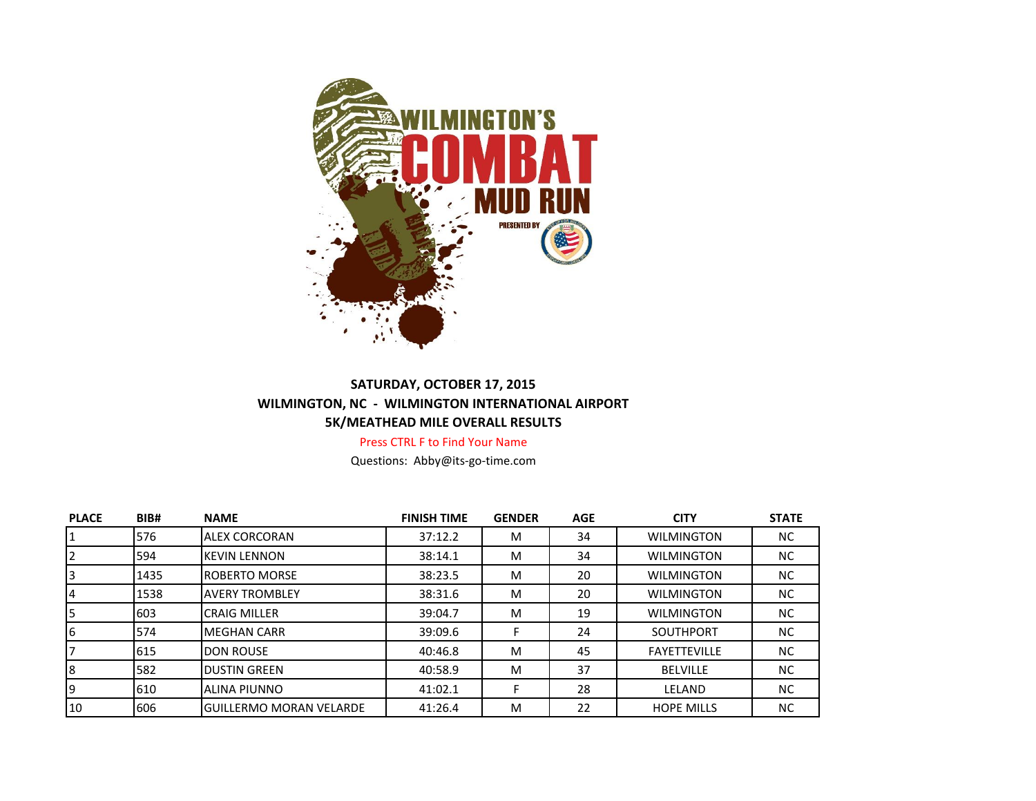

## **SATURDAY, OCTOBER 17, 2015 WILMINGTON, NC - WILMINGTON INTERNATIONAL AIRPORT 5K/MEATHEAD MILE OVERALL RESULTS**

Press CTRL F to Find Your Name

Questions: Abby@its-go-time.com

| <b>PLACE</b> | BIB# | <b>NAME</b>                    | <b>FINISH TIME</b> | <b>GENDER</b> | <b>AGE</b> | <b>CITY</b>         | <b>STATE</b> |
|--------------|------|--------------------------------|--------------------|---------------|------------|---------------------|--------------|
|              | 576  | <b>ALEX CORCORAN</b>           | 37:12.2            | M             | 34         | <b>WILMINGTON</b>   | NC.          |
|              | 594  | <b>KEVIN LENNON</b>            | 38:14.1            | M             | 34         | <b>WILMINGTON</b>   | NC           |
|              | 1435 | <b>ROBERTO MORSE</b>           | 38:23.5            | M             | 20         | <b>WILMINGTON</b>   | NC.          |
|              | 1538 | <b>AVERY TROMBLEY</b>          | 38:31.6            | M             | 20         | <b>WILMINGTON</b>   | NC.          |
|              | 603  | <b>CRAIG MILLER</b>            | 39:04.7            | M             | 19         | <b>WILMINGTON</b>   | NC.          |
| 6            | 574  | <b>MEGHAN CARR</b>             | 39:09.6            |               | 24         | <b>SOUTHPORT</b>    | NC           |
|              | 615  | <b>DON ROUSE</b>               | 40:46.8            | M             | 45         | <b>FAYETTEVILLE</b> | NC.          |
| 8            | 582  | <b>DUSTIN GREEN</b>            | 40:58.9            | M             | 37         | <b>BELVILLE</b>     | NC           |
|              | 610  | <b>ALINA PIUNNO</b>            | 41:02.1            |               | 28         | LELAND              | NC.          |
| 10           | 606  | <b>GUILLERMO MORAN VELARDE</b> | 41:26.4            | M             | 22         | <b>HOPE MILLS</b>   | NC.          |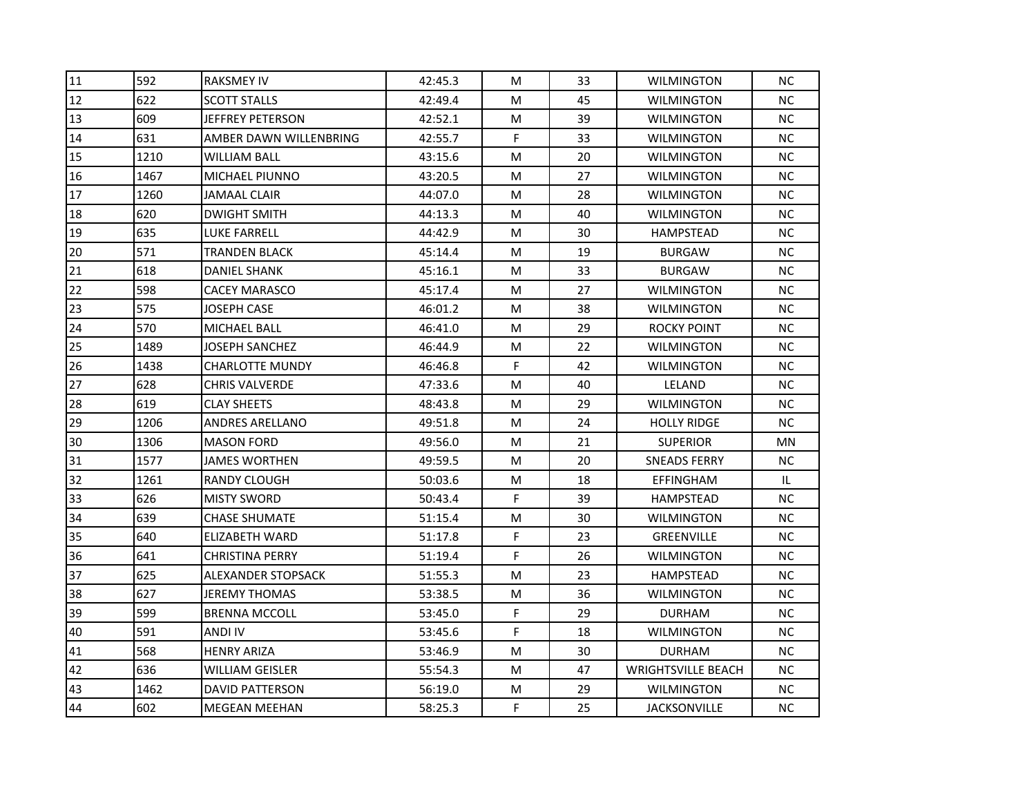| 11 | 592  | <b>RAKSMEY IV</b>       | 42:45.3 | M | 33 | <b>WILMINGTON</b>         | ΝC        |
|----|------|-------------------------|---------|---|----|---------------------------|-----------|
| 12 | 622  | <b>SCOTT STALLS</b>     | 42:49.4 | M | 45 | <b>WILMINGTON</b>         | NC.       |
| 13 | 609  | <b>JEFFREY PETERSON</b> | 42:52.1 | M | 39 | <b>WILMINGTON</b>         | NC.       |
| 14 | 631  | AMBER DAWN WILLENBRING  | 42:55.7 | F | 33 | <b>WILMINGTON</b>         | ΝC        |
| 15 | 1210 | <b>WILLIAM BALL</b>     | 43:15.6 | M | 20 | <b>WILMINGTON</b>         | <b>NC</b> |
| 16 | 1467 | MICHAEL PIUNNO          | 43:20.5 | M | 27 | <b>WILMINGTON</b>         | ΝC        |
| 17 | 1260 | <b>JAMAAL CLAIR</b>     | 44:07.0 | M | 28 | <b>WILMINGTON</b>         | NC.       |
| 18 | 620  | <b>DWIGHT SMITH</b>     | 44:13.3 | M | 40 | <b>WILMINGTON</b>         | NC.       |
| 19 | 635  | <b>LUKE FARRELL</b>     | 44:42.9 | M | 30 | <b>HAMPSTEAD</b>          | <b>NC</b> |
| 20 | 571  | <b>TRANDEN BLACK</b>    | 45:14.4 | M | 19 | <b>BURGAW</b>             | NC.       |
| 21 | 618  | DANIEL SHANK            | 45:16.1 | M | 33 | <b>BURGAW</b>             | NC.       |
| 22 | 598  | <b>CACEY MARASCO</b>    | 45:17.4 | M | 27 | <b>WILMINGTON</b>         | NC.       |
| 23 | 575  | <b>JOSEPH CASE</b>      | 46:01.2 | M | 38 | <b>WILMINGTON</b>         | NC.       |
| 24 | 570  | <b>MICHAEL BALL</b>     | 46:41.0 | M | 29 | <b>ROCKY POINT</b>        | NC.       |
| 25 | 1489 | JOSEPH SANCHEZ          | 46:44.9 | M | 22 | <b>WILMINGTON</b>         | NC.       |
| 26 | 1438 | <b>CHARLOTTE MUNDY</b>  | 46:46.8 | F | 42 | <b>WILMINGTON</b>         | NC.       |
| 27 | 628  | CHRIS VALVERDE          | 47:33.6 | M | 40 | LELAND                    | ΝC        |
| 28 | 619  | <b>CLAY SHEETS</b>      | 48:43.8 | M | 29 | <b>WILMINGTON</b>         | NС        |
| 29 | 1206 | <b>ANDRES ARELLANO</b>  | 49:51.8 | M | 24 | <b>HOLLY RIDGE</b>        | <b>NC</b> |
| 30 | 1306 | <b>MASON FORD</b>       | 49:56.0 | M | 21 | <b>SUPERIOR</b>           | MN        |
| 31 | 1577 | <b>JAMES WORTHEN</b>    | 49:59.5 | M | 20 | SNEADS FERRY              | ΝC        |
| 32 | 1261 | RANDY CLOUGH            | 50:03.6 | M | 18 | EFFINGHAM                 | IL.       |
| 33 | 626  | <b>MISTY SWORD</b>      | 50:43.4 | F | 39 | <b>HAMPSTEAD</b>          | ΝC        |
| 34 | 639  | <b>CHASE SHUMATE</b>    | 51:15.4 | M | 30 | <b>WILMINGTON</b>         | <b>NC</b> |
| 35 | 640  | ELIZABETH WARD          | 51:17.8 | F | 23 | <b>GREENVILLE</b>         | ΝC        |
| 36 | 641  | <b>CHRISTINA PERRY</b>  | 51:19.4 | F | 26 | WILMINGTON                | NC.       |
| 37 | 625  | ALEXANDER STOPSACK      | 51:55.3 | M | 23 | <b>HAMPSTEAD</b>          | <b>NC</b> |
| 38 | 627  | <b>JEREMY THOMAS</b>    | 53:38.5 | M | 36 | <b>WILMINGTON</b>         | ΝC        |
| 39 | 599  | <b>BRENNA MCCOLL</b>    | 53:45.0 | F | 29 | <b>DURHAM</b>             | ΝC        |
| 40 | 591  | ANDI IV                 | 53:45.6 | F | 18 | <b>WILMINGTON</b>         | ΝC        |
| 41 | 568  | <b>HENRY ARIZA</b>      | 53:46.9 | M | 30 | <b>DURHAM</b>             | NC.       |
| 42 | 636  | <b>WILLIAM GEISLER</b>  | 55:54.3 | M | 47 | <b>WRIGHTSVILLE BEACH</b> | <b>NC</b> |
| 43 | 1462 | <b>DAVID PATTERSON</b>  | 56:19.0 | M | 29 | <b>WILMINGTON</b>         | NC.       |
| 44 | 602  | <b>MEGEAN MEEHAN</b>    | 58:25.3 | F | 25 | <b>JACKSONVILLE</b>       | ΝC        |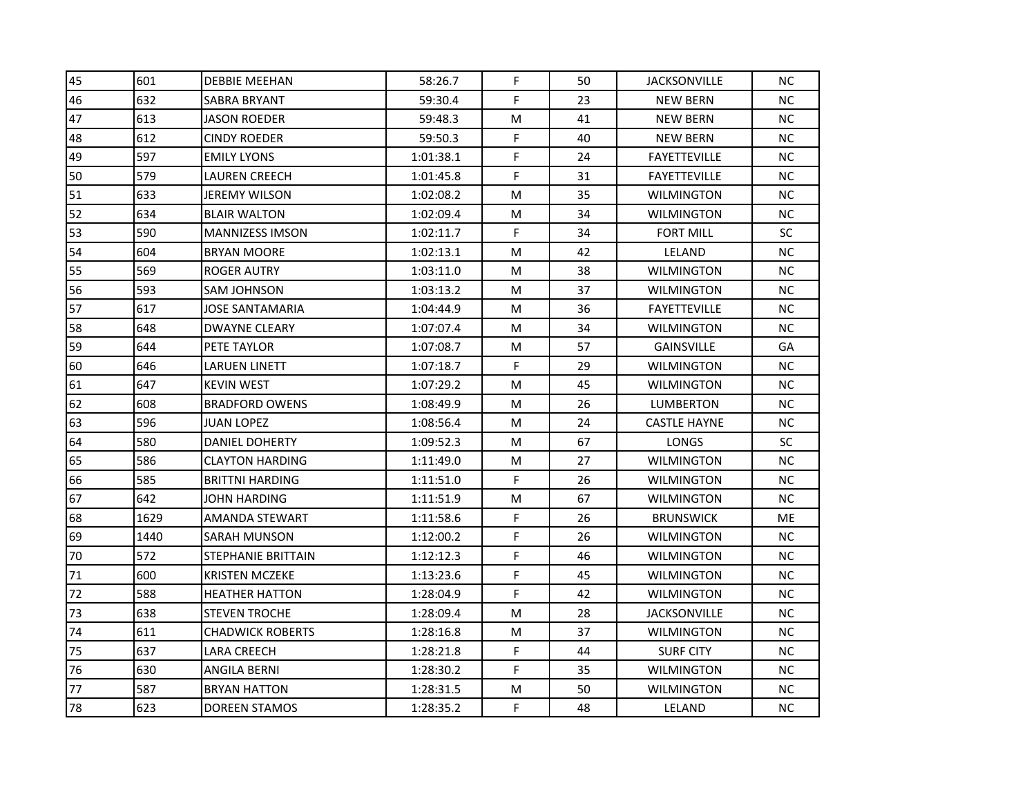| 45 | 601  | <b>DEBBIE MEEHAN</b>    | 58:26.7   | F           | 50 | <b>JACKSONVILLE</b> | NС        |
|----|------|-------------------------|-----------|-------------|----|---------------------|-----------|
| 46 | 632  | SABRA BRYANT            | 59:30.4   | F           | 23 | <b>NEW BERN</b>     | NC.       |
| 47 | 613  | <b>JASON ROEDER</b>     | 59:48.3   | M           | 41 | <b>NEW BERN</b>     | <b>NC</b> |
| 48 | 612  | <b>CINDY ROEDER</b>     | 59:50.3   | F           | 40 | NEW BERN            | NC.       |
| 49 | 597  | <b>EMILY LYONS</b>      | 1:01:38.1 | F           | 24 | <b>FAYETTEVILLE</b> | NC.       |
| 50 | 579  | LAUREN CREECH           | 1:01:45.8 | F           | 31 | <b>FAYETTEVILLE</b> | NC.       |
| 51 | 633  | <b>JEREMY WILSON</b>    | 1:02:08.2 | M           | 35 | <b>WILMINGTON</b>   | ΝC        |
| 52 | 634  | <b>BLAIR WALTON</b>     | 1:02:09.4 | M           | 34 | <b>WILMINGTON</b>   | NC.       |
| 53 | 590  | <b>MANNIZESS IMSON</b>  | 1:02:11.7 | F           | 34 | <b>FORT MILL</b>    | SC        |
| 54 | 604  | <b>BRYAN MOORE</b>      | 1:02:13.1 | M           | 42 | LELAND              | NC.       |
| 55 | 569  | ROGER AUTRY             | 1:03:11.0 | M           | 38 | WILMINGTON          | ΝC        |
| 56 | 593  | SAM JOHNSON             | 1:03:13.2 | M           | 37 | <b>WILMINGTON</b>   | NC.       |
| 57 | 617  | <b>JOSE SANTAMARIA</b>  | 1:04:44.9 | M           | 36 | <b>FAYETTEVILLE</b> | NC.       |
| 58 | 648  | <b>DWAYNE CLEARY</b>    | 1:07:07.4 | M           | 34 | <b>WILMINGTON</b>   | NC.       |
| 59 | 644  | PETE TAYLOR             | 1:07:08.7 | M           | 57 | <b>GAINSVILLE</b>   | GA        |
| 60 | 646  | LARUEN LINETT           | 1:07:18.7 | F           | 29 | <b>WILMINGTON</b>   | NC.       |
| 61 | 647  | <b>KEVIN WEST</b>       | 1:07:29.2 | M           | 45 | <b>WILMINGTON</b>   | ΝC        |
| 62 | 608  | <b>BRADFORD OWENS</b>   | 1:08:49.9 | M           | 26 | LUMBERTON           | ΝC        |
| 63 | 596  | <b>JUAN LOPEZ</b>       | 1:08:56.4 | M           | 24 | <b>CASTLE HAYNE</b> | <b>NC</b> |
| 64 | 580  | DANIEL DOHERTY          | 1:09:52.3 | M           | 67 | <b>LONGS</b>        | <b>SC</b> |
| 65 | 586  | <b>CLAYTON HARDING</b>  | 1:11:49.0 | M           | 27 | <b>WILMINGTON</b>   | NC.       |
| 66 | 585  | <b>BRITTNI HARDING</b>  | 1:11:51.0 | F           | 26 | <b>WILMINGTON</b>   | NC.       |
| 67 | 642  | JOHN HARDING            | 1:11:51.9 | M           | 67 | <b>WILMINGTON</b>   | NC.       |
| 68 | 1629 | <b>AMANDA STEWART</b>   | 1:11:58.6 | F           | 26 | <b>BRUNSWICK</b>    | <b>ME</b> |
| 69 | 1440 | SARAH MUNSON            | 1:12:00.2 | F           | 26 | <b>WILMINGTON</b>   | NC.       |
| 70 | 572  | STEPHANIE BRITTAIN      | 1:12:12.3 | F           | 46 | <b>WILMINGTON</b>   | NC.       |
| 71 | 600  | <b>KRISTEN MCZEKE</b>   | 1:13:23.6 | $\mathsf F$ | 45 | <b>WILMINGTON</b>   | NC.       |
| 72 | 588  | HEATHER HATTON          | 1:28:04.9 | F           | 42 | <b>WILMINGTON</b>   | NС        |
| 73 | 638  | <b>STEVEN TROCHE</b>    | 1:28:09.4 | M           | 28 | <b>JACKSONVILLE</b> | ΝC        |
| 74 | 611  | <b>CHADWICK ROBERTS</b> | 1:28:16.8 | M           | 37 | <b>WILMINGTON</b>   | ΝC        |
| 75 | 637  | LARA CREECH             | 1:28:21.8 | F           | 44 | <b>SURF CITY</b>    | NC.       |
| 76 | 630  | ANGILA BERNI            | 1:28:30.2 | F           | 35 | <b>WILMINGTON</b>   | NC.       |
| 77 | 587  | <b>BRYAN HATTON</b>     | 1:28:31.5 | M           | 50 | <b>WILMINGTON</b>   | NC.       |
| 78 | 623  | <b>DOREEN STAMOS</b>    | 1:28:35.2 | F           | 48 | LELAND              | ΝC        |